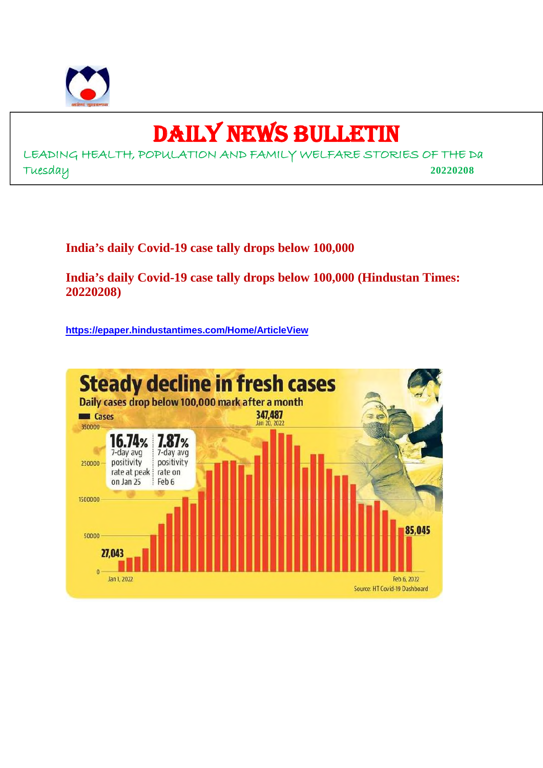

## DAILY NEWS BULLETIN

LEADING HEALTH, POPULATION AND FAMILY WELFARE STORIES OF THE Da Tuesday **20220208**

**India's daily Covid-19 case tally drops below 100,000**

**India's daily Covid-19 case tally drops below 100,000 (Hindustan Times: 20220208)**

**https://epaper.hindustantimes.com/Home/ArticleView**

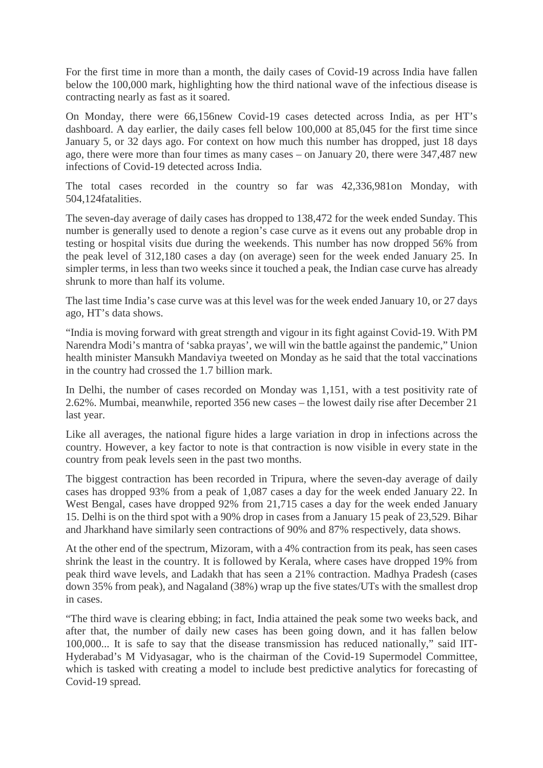For the first time in more than a month, the daily cases of Covid-19 across India have fallen below the 100,000 mark, highlighting how the third national wave of the infectious disease is contracting nearly as fast as it soared.

On Monday, there were 66,156new Covid-19 cases detected across India, as per HT's dashboard. A day earlier, the daily cases fell below 100,000 at 85,045 for the first time since January 5, or 32 days ago. For context on how much this number has dropped, just 18 days ago, there were more than four times as many cases – on January 20, there were 347,487 new infections of Covid-19 detected across India.

The total cases recorded in the country so far was 42,336,981on Monday, with 504,124fatalities.

The seven-day average of daily cases has dropped to 138,472 for the week ended Sunday. This number is generally used to denote a region's case curve as it evens out any probable drop in testing or hospital visits due during the weekends. This number has now dropped 56% from the peak level of 312,180 cases a day (on average) seen for the week ended January 25. In simpler terms, in less than two weeks since it touched a peak, the Indian case curve has already shrunk to more than half its volume.

The last time India's case curve was at this level was for the week ended January 10, or 27 days ago, HT's data shows.

"India is moving forward with great strength and vigour in its fight against Covid-19. With PM Narendra Modi's mantra of 'sabka prayas', we will win the battle against the pandemic," Union health minister Mansukh Mandaviya tweeted on Monday as he said that the total vaccinations in the country had crossed the 1.7 billion mark.

In Delhi, the number of cases recorded on Monday was 1,151, with a test positivity rate of 2.62%. Mumbai, meanwhile, reported 356 new cases – the lowest daily rise after December 21 last year.

Like all averages, the national figure hides a large variation in drop in infections across the country. However, a key factor to note is that contraction is now visible in every state in the country from peak levels seen in the past two months.

The biggest contraction has been recorded in Tripura, where the seven-day average of daily cases has dropped 93% from a peak of 1,087 cases a day for the week ended January 22. In West Bengal, cases have dropped 92% from 21,715 cases a day for the week ended January 15. Delhi is on the third spot with a 90% drop in cases from a January 15 peak of 23,529. Bihar and Jharkhand have similarly seen contractions of 90% and 87% respectively, data shows.

At the other end of the spectrum, Mizoram, with a 4% contraction from its peak, has seen cases shrink the least in the country. It is followed by Kerala, where cases have dropped 19% from peak third wave levels, and Ladakh that has seen a 21% contraction. Madhya Pradesh (cases down 35% from peak), and Nagaland (38%) wrap up the five states/UTs with the smallest drop in cases.

"The third wave is clearing ebbing; in fact, India attained the peak some two weeks back, and after that, the number of daily new cases has been going down, and it has fallen below 100,000... It is safe to say that the disease transmission has reduced nationally," said IIT-Hyderabad's M Vidyasagar, who is the chairman of the Covid-19 Supermodel Committee, which is tasked with creating a model to include best predictive analytics for forecasting of Covid-19 spread.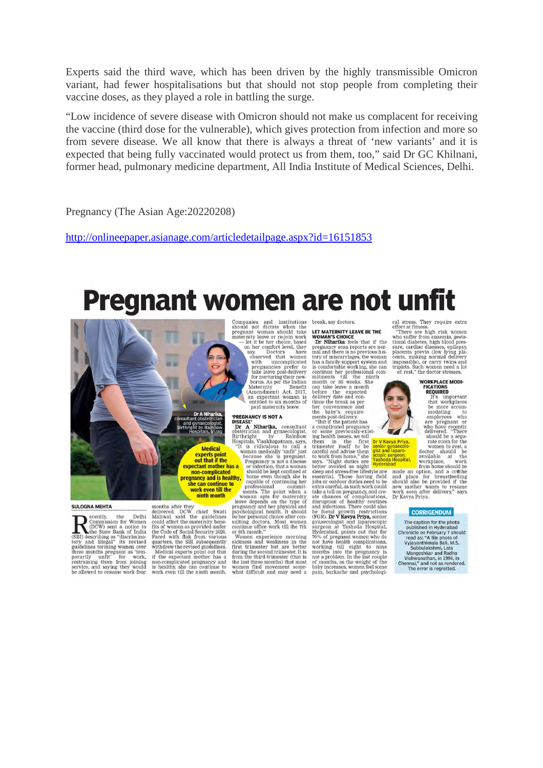Experts said the third wave, which has been driven by the highly transmissible Omicron variant, had fewer hospitalisations but that should not stop people from completing their vaccine doses, as they played a role in battling the surge.

"Low incidence of severe disease with Omicron should not make us complacent for receiving the vaccine (third dose for the vulnerable), which gives protection from infection and more so from severe disease. We all know that there is always a threat of 'new variants' and it is expected that being fully vaccinated would protect us from them, too," said Dr GC Khilnani, former head, pulmonary medicine department, All India Institute of Medical Sciences, Delhi.

Pregnancy (The Asian Age:20220208)

http://onlineepaper.asianage.com/articledetailpage.aspx?id=16151853

# **Pregnant women are not unfit**



**Example 2018**<br> **Example 2018**<br> **Commission** for Women<br>
(CDCW) sent a notice to<br>
the State Bank of India<br>
tory and illegal" its revised<br>
three months pregnant as tem-<br>
proratily unity<br>
there months pregnant as tem-<br>
prorat three months pregnant as tem-<br>porarily unfit' for work,<br>restraining them from joining<br>service, and saying they would<br>be allowed to resume work four months after they<br>delivered. DCW chief Swati<br>Maliwal said the guidelines<br>could affect the maternity benefits of women as provided under<br>the Code of Social Security 2020.<br>Paced with flak from various<br>quarters, the SBI subs with the revised guitariums.<br>
Medical experts point out that<br>
if the expectant mother has a<br>
non-complicated pregnancy and<br>
is healthy, she can continue to<br>
work even till the ninth month.

Companies and institutions<br>should not dictate when the<br>pregnant woman should take<br>maternity leave or re-join work<br>— let it be her choice, based<br>on her comfort level, they<br>asy. say. Doctors have<br>observed that women with uncomplicated with uncomplicated<br>pregnancies prefer to<br>take leave post-delivery for nurturing their new borns. As per the Indian Maternity Benefit<br>(Amendment) Act, 2017, an expectant woman is<br>entitled to six months of<br>paid maternity leave.

what difficult and may need a

break, say doctors.

#### LET MATERNITY LEAVE RE THE **WOMAN'S CHOICE**

**WOMAN'S CHOICE**<br> **Dr Niharika** feels that if the<br>
pregnancy scan reports are nor-<br>
mal and there is no previous his-<br>
tory of miscarriages, the woman has a family support system and<br>is comfortable working, she can

is comfortable working, she can<br>infinite her professional commitments till the minimal<br>mitments till the minimal commitments till the minimal<br>can take leave a month<br>delivery date and con-<br>delivery date and con-<br>delivery d

or some previously<br>exist-<br>main has integral and the main in the first the main in the first tell<br>them in the first of the senior of careful and advise them of<br>standards as main space of the senior space is says. Thight du working the eight to nine<br>months into the pregnancy is<br>not a problem. In the last couple for a provisem. In the last couple<br>of months, as the weight of the<br>baby increases, women feel some<br>pain, backache and psychologi-

cal stress. They require extra<br>effort at fitness.<br>"There are high risk women<br>who suffer from anaemia, gesta-<br>tional diabetes, high blood pressure, cardiac diseases, epilepsy, sure, caruac unseases, epinepsy,<br>placenta previa (low lying placenta, making normal delivery<br>impossible), or carry twins and triplets. Such women need a lot of rest," the doctor stresses



**FIGURES**<br>
T's important<br>
that workplaces<br>
the more accommodating<br>
modating the<br>
employees who<br>
are pregnant or<br>
who have recently<br>
deliverd. "There<br>
should be a separate room for the<br>
workplace,<br>
workplace,<br>
workplace,<br>
w available at the<br>workplace, work<br>from home should be

rom none should be<br>and place for breastfeeding<br>and place for breastfeeding<br>should also be provided if the<br>new mother wants to resume<br>work soon after delivery," says<br>Dr Kavya Priya.

#### **CORRIGENDUM**

The caption for the photo<br>published in Hyderabad<br>Chronicle on February 7 should<br>read as: "A file photo of<br>Vyayanthimala Ball, M.S.<br>Subbulakshmi, I.ata<br>Mangeshkar and Radha<br>Vishwanathan, in 1994, in<br>The armorium of the erro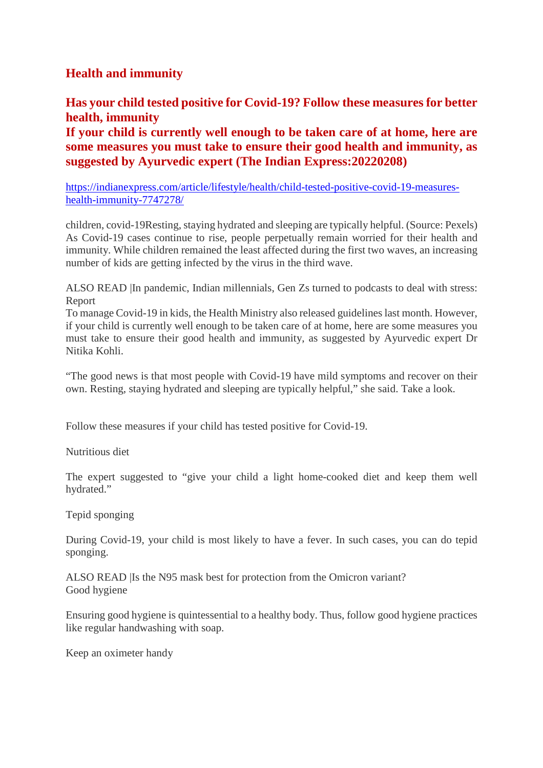#### **Health and immunity**

#### **Has your child tested positive for Covid-19? Follow these measures for better health, immunity**

**If your child is currently well enough to be taken care of at home, here are some measures you must take to ensure their good health and immunity, as suggested by Ayurvedic expert (The Indian Express:20220208)**

https://indianexpress.com/article/lifestyle/health/child-tested-positive-covid-19-measureshealth-immunity-7747278/

children, covid-19Resting, staying hydrated and sleeping are typically helpful. (Source: Pexels) As Covid-19 cases continue to rise, people perpetually remain worried for their health and immunity. While children remained the least affected during the first two waves, an increasing number of kids are getting infected by the virus in the third wave.

ALSO READ |In pandemic, Indian millennials, Gen Zs turned to podcasts to deal with stress: Report

To manage Covid-19 in kids, the Health Ministry also released guidelines last month. However, if your child is currently well enough to be taken care of at home, here are some measures you must take to ensure their good health and immunity, as suggested by Ayurvedic expert Dr Nitika Kohli.

"The good news is that most people with Covid-19 have mild symptoms and recover on their own. Resting, staying hydrated and sleeping are typically helpful," she said. Take a look.

Follow these measures if your child has tested positive for Covid-19.

Nutritious diet

The expert suggested to "give your child a light home-cooked diet and keep them well hydrated."

Tepid sponging

During Covid-19, your child is most likely to have a fever. In such cases, you can do tepid sponging.

ALSO READ |Is the N95 mask best for protection from the Omicron variant? Good hygiene

Ensuring good hygiene is quintessential to a healthy body. Thus, follow good hygiene practices like regular handwashing with soap.

Keep an oximeter handy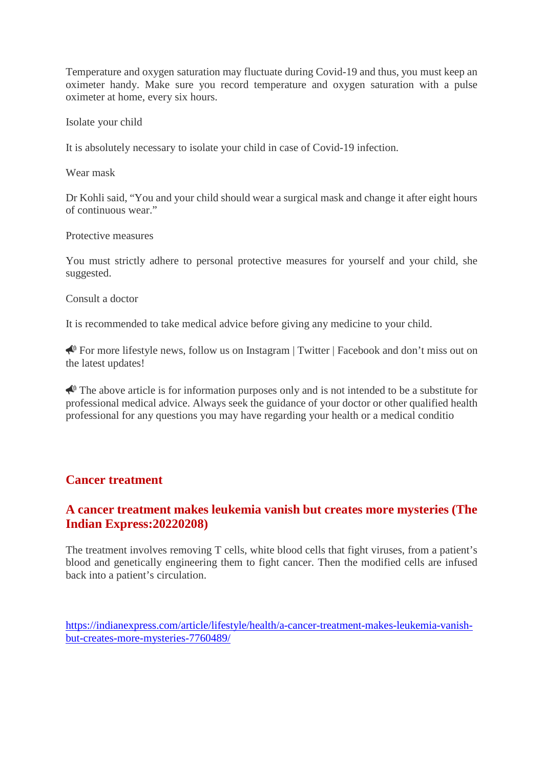Temperature and oxygen saturation may fluctuate during Covid-19 and thus, you must keep an oximeter handy. Make sure you record temperature and oxygen saturation with a pulse oximeter at home, every six hours.

Isolate your child

It is absolutely necessary to isolate your child in case of Covid-19 infection.

Wear mask

Dr Kohli said, "You and your child should wear a surgical mask and change it after eight hours of continuous wear."

Protective measures

You must strictly adhere to personal protective measures for yourself and your child, she suggested.

Consult a doctor

It is recommended to take medical advice before giving any medicine to your child.

 For more lifestyle news, follow us on Instagram | Twitter | Facebook and don't miss out on the latest updates!

 $\triangle$  The above article is for information purposes only and is not intended to be a substitute for professional medical advice. Always seek the guidance of your doctor or other qualified health professional for any questions you may have regarding your health or a medical conditio

#### **Cancer treatment**

#### **A cancer treatment makes leukemia vanish but creates more mysteries (The Indian Express:20220208)**

The treatment involves removing T cells, white blood cells that fight viruses, from a patient's blood and genetically engineering them to fight cancer. Then the modified cells are infused back into a patient's circulation.

https://indianexpress.com/article/lifestyle/health/a-cancer-treatment-makes-leukemia-vanishbut-creates-more-mysteries-7760489/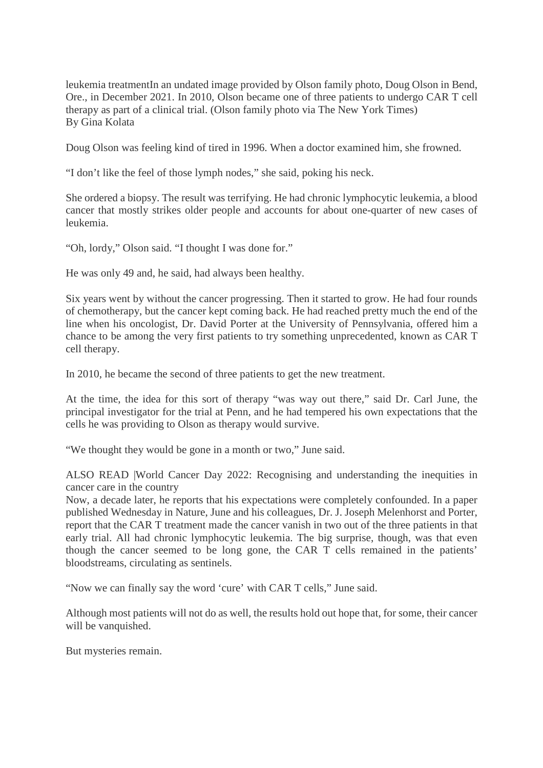leukemia treatmentIn an undated image provided by Olson family photo, Doug Olson in Bend, Ore., in December 2021. In 2010, Olson became one of three patients to undergo CAR T cell therapy as part of a clinical trial. (Olson family photo via The New York Times) By Gina Kolata

Doug Olson was feeling kind of tired in 1996. When a doctor examined him, she frowned.

"I don't like the feel of those lymph nodes," she said, poking his neck.

She ordered a biopsy. The result was terrifying. He had chronic lymphocytic leukemia, a blood cancer that mostly strikes older people and accounts for about one-quarter of new cases of leukemia.

"Oh, lordy," Olson said. "I thought I was done for."

He was only 49 and, he said, had always been healthy.

Six years went by without the cancer progressing. Then it started to grow. He had four rounds of chemotherapy, but the cancer kept coming back. He had reached pretty much the end of the line when his oncologist, Dr. David Porter at the University of Pennsylvania, offered him a chance to be among the very first patients to try something unprecedented, known as CAR T cell therapy.

In 2010, he became the second of three patients to get the new treatment.

At the time, the idea for this sort of therapy "was way out there," said Dr. Carl June, the principal investigator for the trial at Penn, and he had tempered his own expectations that the cells he was providing to Olson as therapy would survive.

"We thought they would be gone in a month or two," June said.

ALSO READ |World Cancer Day 2022: Recognising and understanding the inequities in cancer care in the country

Now, a decade later, he reports that his expectations were completely confounded. In a paper published Wednesday in Nature, June and his colleagues, Dr. J. Joseph Melenhorst and Porter, report that the CAR T treatment made the cancer vanish in two out of the three patients in that early trial. All had chronic lymphocytic leukemia. The big surprise, though, was that even though the cancer seemed to be long gone, the CAR T cells remained in the patients' bloodstreams, circulating as sentinels.

"Now we can finally say the word 'cure' with CAR T cells," June said.

Although most patients will not do as well, the results hold out hope that, for some, their cancer will be vanquished.

But mysteries remain.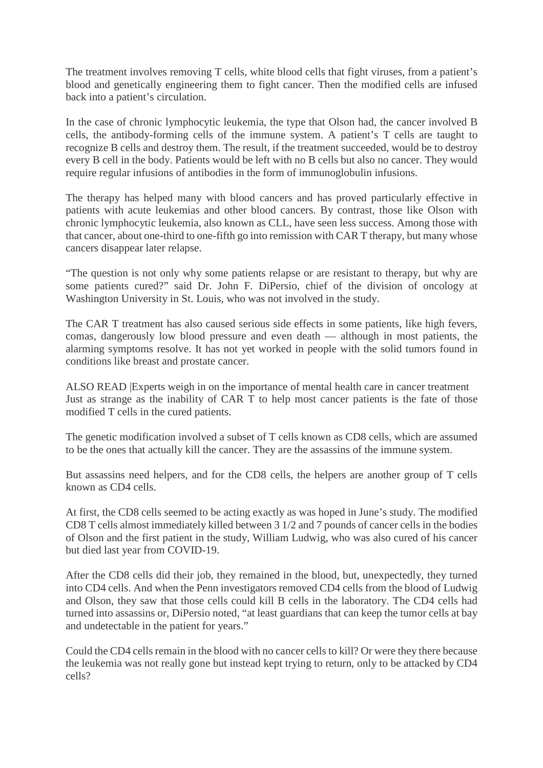The treatment involves removing T cells, white blood cells that fight viruses, from a patient's blood and genetically engineering them to fight cancer. Then the modified cells are infused back into a patient's circulation.

In the case of chronic lymphocytic leukemia, the type that Olson had, the cancer involved B cells, the antibody-forming cells of the immune system. A patient's T cells are taught to recognize B cells and destroy them. The result, if the treatment succeeded, would be to destroy every B cell in the body. Patients would be left with no B cells but also no cancer. They would require regular infusions of antibodies in the form of immunoglobulin infusions.

The therapy has helped many with blood cancers and has proved particularly effective in patients with acute leukemias and other blood cancers. By contrast, those like Olson with chronic lymphocytic leukemia, also known as CLL, have seen less success. Among those with that cancer, about one-third to one-fifth go into remission with CAR T therapy, but many whose cancers disappear later relapse.

"The question is not only why some patients relapse or are resistant to therapy, but why are some patients cured?" said Dr. John F. DiPersio, chief of the division of oncology at Washington University in St. Louis, who was not involved in the study.

The CAR T treatment has also caused serious side effects in some patients, like high fevers, comas, dangerously low blood pressure and even death — although in most patients, the alarming symptoms resolve. It has not yet worked in people with the solid tumors found in conditions like breast and prostate cancer.

ALSO READ |Experts weigh in on the importance of mental health care in cancer treatment Just as strange as the inability of CAR T to help most cancer patients is the fate of those modified T cells in the cured patients.

The genetic modification involved a subset of T cells known as CD8 cells, which are assumed to be the ones that actually kill the cancer. They are the assassins of the immune system.

But assassins need helpers, and for the CD8 cells, the helpers are another group of T cells known as CD4 cells.

At first, the CD8 cells seemed to be acting exactly as was hoped in June's study. The modified CD8 T cells almost immediately killed between 3 1/2 and 7 pounds of cancer cells in the bodies of Olson and the first patient in the study, William Ludwig, who was also cured of his cancer but died last year from COVID-19.

After the CD8 cells did their job, they remained in the blood, but, unexpectedly, they turned into CD4 cells. And when the Penn investigators removed CD4 cells from the blood of Ludwig and Olson, they saw that those cells could kill B cells in the laboratory. The CD4 cells had turned into assassins or, DiPersio noted, "at least guardians that can keep the tumor cells at bay and undetectable in the patient for years."

Could the CD4 cells remain in the blood with no cancer cells to kill? Or were they there because the leukemia was not really gone but instead kept trying to return, only to be attacked by CD4 cells?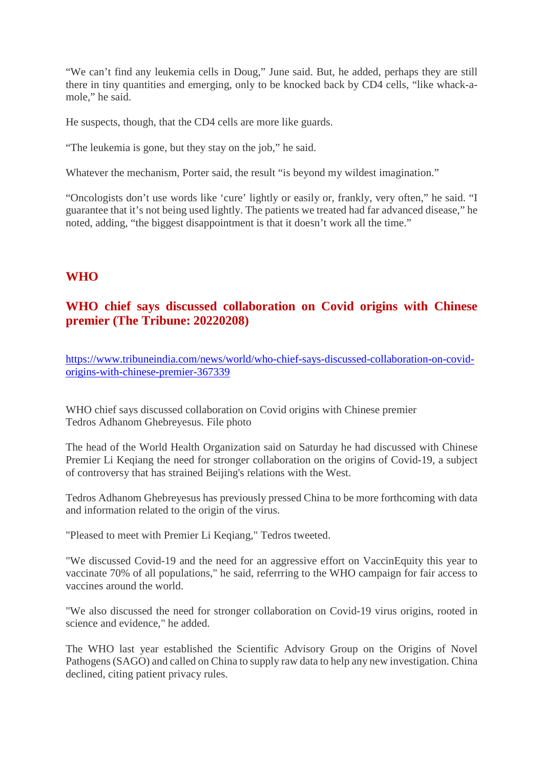"We can't find any leukemia cells in Doug," June said. But, he added, perhaps they are still there in tiny quantities and emerging, only to be knocked back by CD4 cells, "like whack-amole," he said.

He suspects, though, that the CD4 cells are more like guards.

"The leukemia is gone, but they stay on the job," he said.

Whatever the mechanism, Porter said, the result "is beyond my wildest imagination."

"Oncologists don't use words like 'cure' lightly or easily or, frankly, very often," he said. "I guarantee that it's not being used lightly. The patients we treated had far advanced disease," he noted, adding, "the biggest disappointment is that it doesn't work all the time."

#### **WHO**

#### **WHO chief says discussed collaboration on Covid origins with Chinese premier (The Tribune: 20220208)**

https://www.tribuneindia.com/news/world/who-chief-says-discussed-collaboration-on-covidorigins-with-chinese-premier-367339

WHO chief says discussed collaboration on Covid origins with Chinese premier Tedros Adhanom Ghebreyesus. File photo

The head of the World Health Organization said on Saturday he had discussed with Chinese Premier Li Keqiang the need for stronger collaboration on the origins of Covid-19, a subject of controversy that has strained Beijing's relations with the West.

Tedros Adhanom Ghebreyesus has previously pressed China to be more forthcoming with data and information related to the origin of the virus.

"Pleased to meet with Premier Li Keqiang," Tedros tweeted.

"We discussed Covid-19 and the need for an aggressive effort on VaccinEquity this year to vaccinate 70% of all populations," he said, referrring to the WHO campaign for fair access to vaccines around the world.

"We also discussed the need for stronger collaboration on Covid-19 virus origins, rooted in science and evidence," he added.

The WHO last year established the Scientific Advisory Group on the Origins of Novel Pathogens (SAGO) and called on China to supply raw data to help any new investigation. China declined, citing patient privacy rules.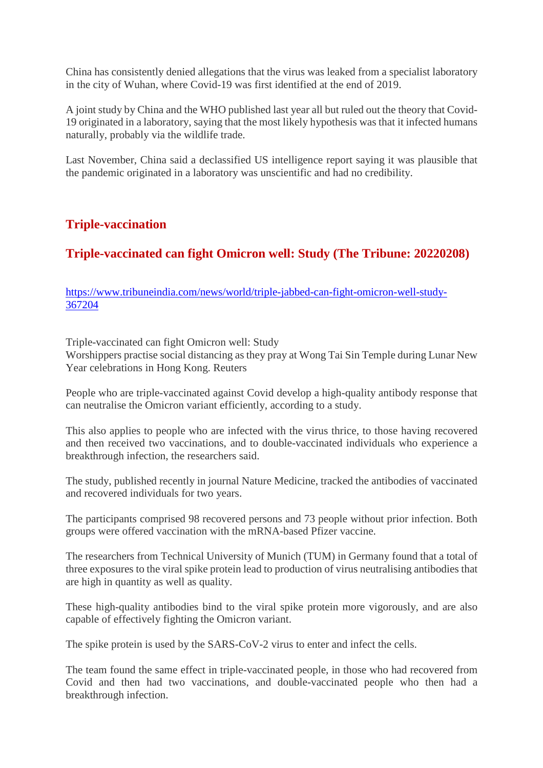China has consistently denied allegations that the virus was leaked from a specialist laboratory in the city of Wuhan, where Covid-19 was first identified at the end of 2019.

A joint study by China and the WHO published last year all but ruled out the theory that Covid-19 originated in a laboratory, saying that the most likely hypothesis was that it infected humans naturally, probably via the wildlife trade.

Last November, China said a declassified US intelligence report saying it was plausible that the pandemic originated in a laboratory was unscientific and had no credibility.

#### **Triple-vaccination**

#### **Triple-vaccinated can fight Omicron well: Study (The Tribune: 20220208)**

https://www.tribuneindia.com/news/world/triple-jabbed-can-fight-omicron-well-study-367204

Triple-vaccinated can fight Omicron well: Study

Worshippers practise social distancing as they pray at Wong Tai Sin Temple during Lunar New Year celebrations in Hong Kong. Reuters

People who are triple-vaccinated against Covid develop a high-quality antibody response that can neutralise the Omicron variant efficiently, according to a study.

This also applies to people who are infected with the virus thrice, to those having recovered and then received two vaccinations, and to double-vaccinated individuals who experience a breakthrough infection, the researchers said.

The study, published recently in journal Nature Medicine, tracked the antibodies of vaccinated and recovered individuals for two years.

The participants comprised 98 recovered persons and 73 people without prior infection. Both groups were offered vaccination with the mRNA-based Pfizer vaccine.

The researchers from Technical University of Munich (TUM) in Germany found that a total of three exposures to the viral spike protein lead to production of virus neutralising antibodies that are high in quantity as well as quality.

These high-quality antibodies bind to the viral spike protein more vigorously, and are also capable of effectively fighting the Omicron variant.

The spike protein is used by the SARS-CoV-2 virus to enter and infect the cells.

The team found the same effect in triple-vaccinated people, in those who had recovered from Covid and then had two vaccinations, and double-vaccinated people who then had a breakthrough infection.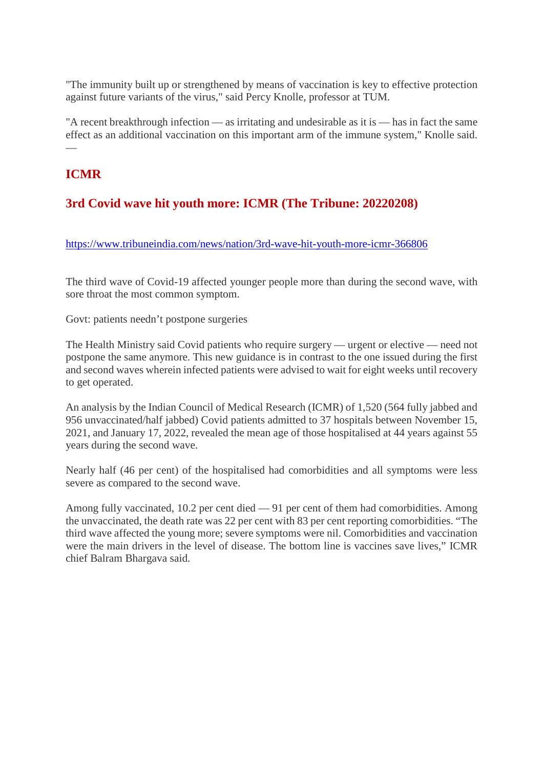"The immunity built up or strengthened by means of vaccination is key to effective protection against future variants of the virus," said Percy Knolle, professor at TUM.

"A recent breakthrough infection — as irritating and undesirable as it is — has in fact the same effect as an additional vaccination on this important arm of the immune system," Knolle said. —

#### **ICMR**

### **3rd Covid wave hit youth more: ICMR (The Tribune: 20220208)**

https://www.tribuneindia.com/news/nation/3rd-wave-hit-youth-more-icmr-366806

The third wave of Covid-19 affected younger people more than during the second wave, with sore throat the most common symptom.

Govt: patients needn't postpone surgeries

The Health Ministry said Covid patients who require surgery — urgent or elective — need not postpone the same anymore. This new guidance is in contrast to the one issued during the first and second waves wherein infected patients were advised to wait for eight weeks until recovery to get operated.

An analysis by the Indian Council of Medical Research (ICMR) of 1,520 (564 fully jabbed and 956 unvaccinated/half jabbed) Covid patients admitted to 37 hospitals between November 15, 2021, and January 17, 2022, revealed the mean age of those hospitalised at 44 years against 55 years during the second wave.

Nearly half (46 per cent) of the hospitalised had comorbidities and all symptoms were less severe as compared to the second wave.

Among fully vaccinated, 10.2 per cent died — 91 per cent of them had comorbidities. Among the unvaccinated, the death rate was 22 per cent with 83 per cent reporting comorbidities. "The third wave affected the young more; severe symptoms were nil. Comorbidities and vaccination were the main drivers in the level of disease. The bottom line is vaccines save lives," ICMR chief Balram Bhargava said.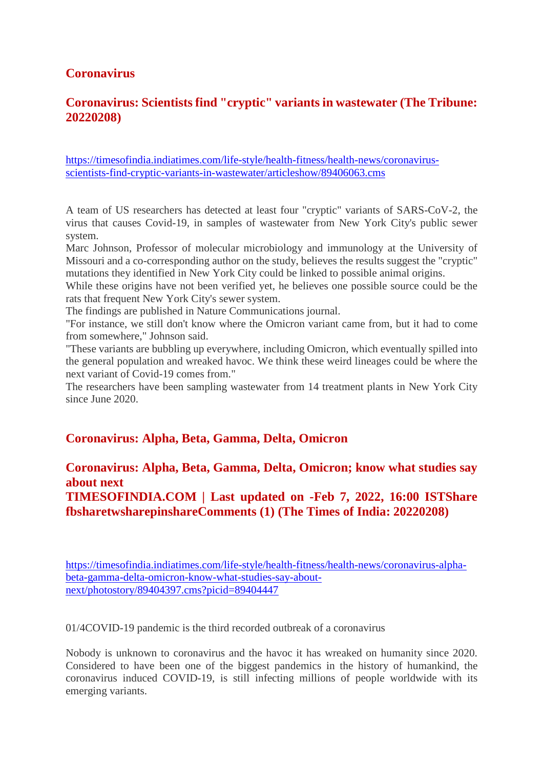#### **Coronavirus**

#### **Coronavirus: Scientists find "cryptic" variants in wastewater (The Tribune: 20220208)**

https://timesofindia.indiatimes.com/life-style/health-fitness/health-news/coronavirusscientists-find-cryptic-variants-in-wastewater/articleshow/89406063.cms

A team of US researchers has detected at least four "cryptic" variants of SARS-CoV-2, the virus that causes Covid-19, in samples of wastewater from New York City's public sewer system.

Marc Johnson, Professor of molecular microbiology and immunology at the University of Missouri and a co-corresponding author on the study, believes the results suggest the "cryptic" mutations they identified in New York City could be linked to possible animal origins.

While these origins have not been verified yet, he believes one possible source could be the rats that frequent New York City's sewer system.

The findings are published in Nature Communications journal.

"For instance, we still don't know where the Omicron variant came from, but it had to come from somewhere," Johnson said.

"These variants are bubbling up everywhere, including Omicron, which eventually spilled into the general population and wreaked havoc. We think these weird lineages could be where the next variant of Covid-19 comes from."

The researchers have been sampling wastewater from 14 treatment plants in New York City since June 2020.

#### **Coronavirus: Alpha, Beta, Gamma, Delta, Omicron**

#### **Coronavirus: Alpha, Beta, Gamma, Delta, Omicron; know what studies say about next**

**TIMESOFINDIA.COM | Last updated on -Feb 7, 2022, 16:00 ISTShare fbsharetwsharepinshareComments (1) (The Times of India: 20220208)**

https://timesofindia.indiatimes.com/life-style/health-fitness/health-news/coronavirus-alphabeta-gamma-delta-omicron-know-what-studies-say-aboutnext/photostory/89404397.cms?picid=89404447

01/4COVID-19 pandemic is the third recorded outbreak of a coronavirus

Nobody is unknown to coronavirus and the havoc it has wreaked on humanity since 2020. Considered to have been one of the biggest pandemics in the history of humankind, the coronavirus induced COVID-19, is still infecting millions of people worldwide with its emerging variants.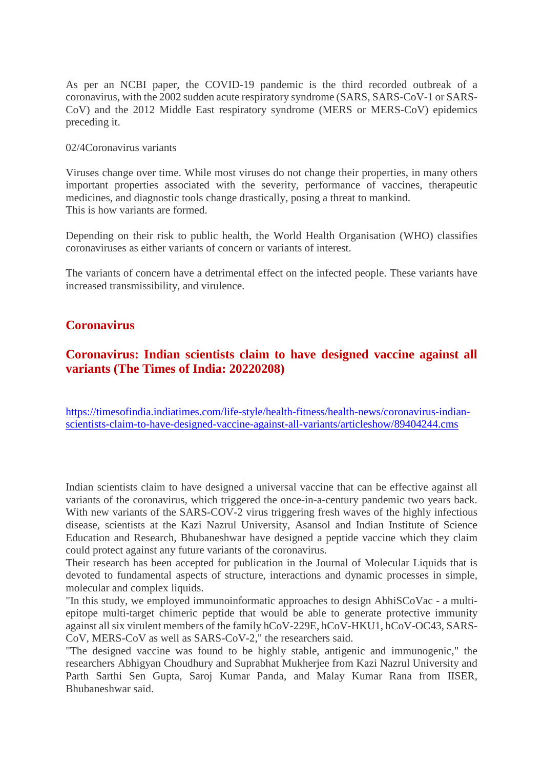As per an NCBI paper, the COVID-19 pandemic is the third recorded outbreak of a coronavirus, with the 2002 sudden acute respiratory syndrome (SARS, SARS-CoV-1 or SARS-CoV) and the 2012 Middle East respiratory syndrome (MERS or MERS-CoV) epidemics preceding it.

#### 02/4Coronavirus variants

Viruses change over time. While most viruses do not change their properties, in many others important properties associated with the severity, performance of vaccines, therapeutic medicines, and diagnostic tools change drastically, posing a threat to mankind. This is how variants are formed.

Depending on their risk to public health, the World Health Organisation (WHO) classifies coronaviruses as either variants of concern or variants of interest.

The variants of concern have a detrimental effect on the infected people. These variants have increased transmissibility, and virulence.

#### **Coronavirus**

#### **Coronavirus: Indian scientists claim to have designed vaccine against all variants (The Times of India: 20220208)**

https://timesofindia.indiatimes.com/life-style/health-fitness/health-news/coronavirus-indianscientists-claim-to-have-designed-vaccine-against-all-variants/articleshow/89404244.cms

Indian scientists claim to have designed a universal vaccine that can be effective against all variants of the coronavirus, which triggered the once-in-a-century pandemic two years back. With new variants of the SARS-COV-2 virus triggering fresh waves of the highly infectious disease, scientists at the Kazi Nazrul University, Asansol and Indian Institute of Science Education and Research, Bhubaneshwar have designed a peptide vaccine which they claim could protect against any future variants of the coronavirus.

Their research has been accepted for publication in the Journal of Molecular Liquids that is devoted to fundamental aspects of structure, interactions and dynamic processes in simple, molecular and complex liquids.

"In this study, we employed immunoinformatic approaches to design AbhiSCoVac - a multiepitope multi-target chimeric peptide that would be able to generate protective immunity against all six virulent members of the family hCoV-229E, hCoV-HKU1, hCoV-OC43, SARS-CoV, MERS-CoV as well as SARS-CoV-2," the researchers said.

"The designed vaccine was found to be highly stable, antigenic and immunogenic," the researchers Abhigyan Choudhury and Suprabhat Mukherjee from Kazi Nazrul University and Parth Sarthi Sen Gupta, Saroj Kumar Panda, and Malay Kumar Rana from IISER, Bhubaneshwar said.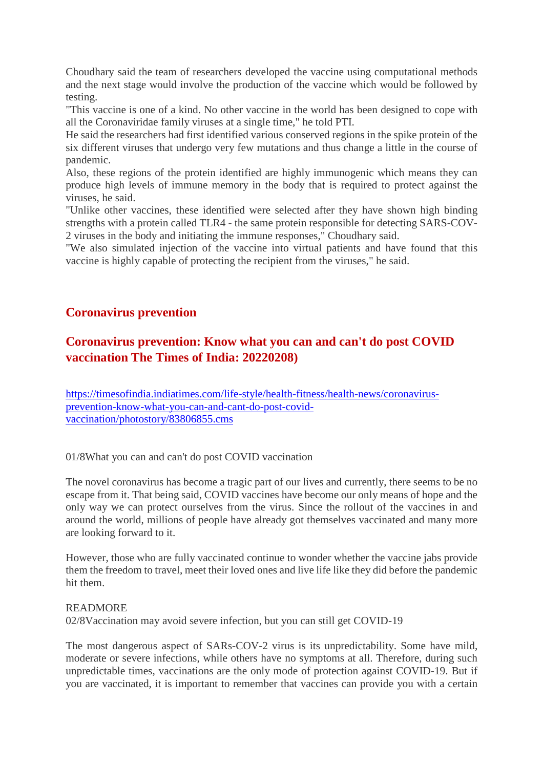Choudhary said the team of researchers developed the vaccine using computational methods and the next stage would involve the production of the vaccine which would be followed by testing.

"This vaccine is one of a kind. No other vaccine in the world has been designed to cope with all the Coronaviridae family viruses at a single time," he told PTI.

He said the researchers had first identified various conserved regions in the spike protein of the six different viruses that undergo very few mutations and thus change a little in the course of pandemic.

Also, these regions of the protein identified are highly immunogenic which means they can produce high levels of immune memory in the body that is required to protect against the viruses, he said.

"Unlike other vaccines, these identified were selected after they have shown high binding strengths with a protein called TLR4 - the same protein responsible for detecting SARS-COV-2 viruses in the body and initiating the immune responses," Choudhary said.

"We also simulated injection of the vaccine into virtual patients and have found that this vaccine is highly capable of protecting the recipient from the viruses," he said.

#### **Coronavirus prevention**

### **Coronavirus prevention: Know what you can and can't do post COVID vaccination The Times of India: 20220208)**

https://timesofindia.indiatimes.com/life-style/health-fitness/health-news/coronavirusprevention-know-what-you-can-and-cant-do-post-covidvaccination/photostory/83806855.cms

01/8What you can and can't do post COVID vaccination

The novel coronavirus has become a tragic part of our lives and currently, there seems to be no escape from it. That being said, COVID vaccines have become our only means of hope and the only way we can protect ourselves from the virus. Since the rollout of the vaccines in and around the world, millions of people have already got themselves vaccinated and many more are looking forward to it.

However, those who are fully vaccinated continue to wonder whether the vaccine jabs provide them the freedom to travel, meet their loved ones and live life like they did before the pandemic hit them.

#### READMORE

02/8Vaccination may avoid severe infection, but you can still get COVID-19

The most dangerous aspect of SARs-COV-2 virus is its unpredictability. Some have mild, moderate or severe infections, while others have no symptoms at all. Therefore, during such unpredictable times, vaccinations are the only mode of protection against COVID-19. But if you are vaccinated, it is important to remember that vaccines can provide you with a certain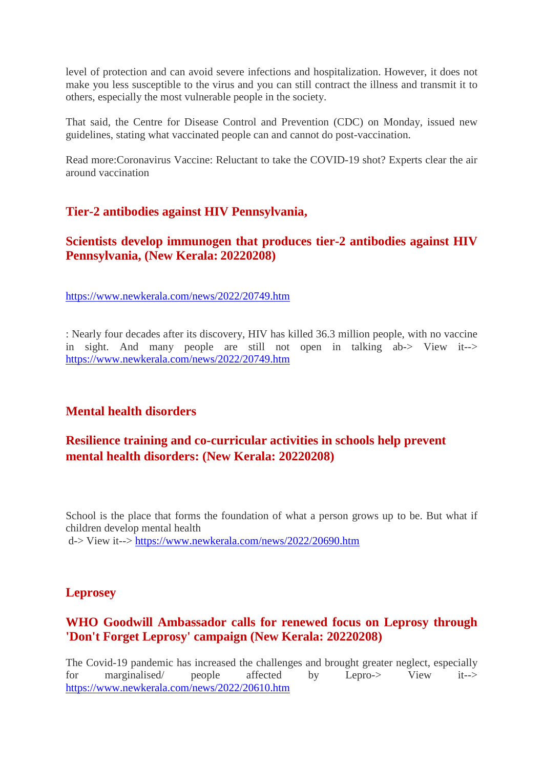level of protection and can avoid severe infections and hospitalization. However, it does not make you less susceptible to the virus and you can still contract the illness and transmit it to others, especially the most vulnerable people in the society.

That said, the Centre for Disease Control and Prevention (CDC) on Monday, issued new guidelines, stating what vaccinated people can and cannot do post-vaccination.

Read more:Coronavirus Vaccine: Reluctant to take the COVID-19 shot? Experts clear the air around vaccination

#### **Tier-2 antibodies against HIV Pennsylvania,**

#### **Scientists develop immunogen that produces tier-2 antibodies against HIV Pennsylvania, (New Kerala: 20220208)**

https://www.newkerala.com/news/2022/20749.htm

: Nearly four decades after its discovery, HIV has killed 36.3 million people, with no vaccine in sight. And many people are still not open in talking ab-> View it--> https://www.newkerala.com/news/2022/20749.htm

#### **Mental health disorders**

#### **Resilience training and co-curricular activities in schools help prevent mental health disorders: (New Kerala: 20220208)**

School is the place that forms the foundation of what a person grows up to be. But what if children develop mental health d-> View it--> https://www.newkerala.com/news/2022/20690.htm

#### **Leprosey**

#### **WHO Goodwill Ambassador calls for renewed focus on Leprosy through 'Don't Forget Leprosy' campaign (New Kerala: 20220208)**

The Covid-19 pandemic has increased the challenges and brought greater neglect, especially for marginalised/ people affected by Lepro-> View it--> https://www.newkerala.com/news/2022/20610.htm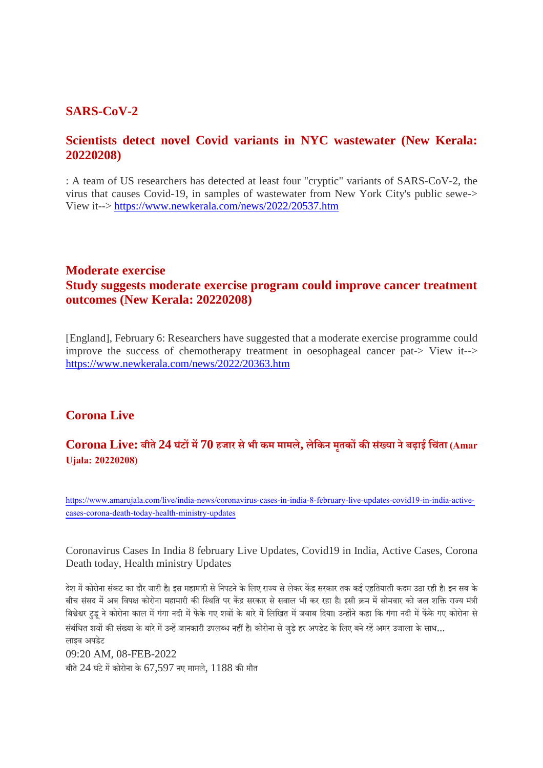#### **SARS-CoV-2**

#### **Scientists detect novel Covid variants in NYC wastewater (New Kerala: 20220208)**

: A team of US researchers has detected at least four "cryptic" variants of SARS-CoV-2, the virus that causes Covid-19, in samples of wastewater from New York City's public sewe-> View it--> https://www.newkerala.com/news/2022/20537.htm

#### **Moderate exercise Study suggests moderate exercise program could improve cancer treatment outcomes (New Kerala: 20220208)**

[England], February 6: Researchers have suggested that a moderate exercise programme could improve the success of chemotherapy treatment in oesophageal cancer pat-> View it--> https://www.newkerala.com/news/2022/20363.htm

#### **Corona Live**

#### **Corona Live: बीते24 घंटम70 हजार सेभी कम मामले, लेिकन मतृ ककसं या नेबढ़ाई िचतं ा (Amar Ujala: 20220208)**

https://www.amarujala.com/live/india-news/coronavirus-cases-in-india-8-february-live-updates-covid19-in-india-activecases-corona-death-today-health-ministry-updates

Coronavirus Cases In India 8 february Live Updates, Covid19 in India, Active Cases, Corona Death today, Health ministry Updates

देश में कोरोना संकट का दौर जारी है। इस महामारी से निपटने के लिए राज्य से लेकर केंद्र सरकार तक कई एहतियाती कदम उठा रही है। इन सब के बीच संसद में अब विपक्ष कोरोना महामारी की स्थिति पर केंद्र सरकार से सवाल भी कर रहा है। इसी क्रम में सोमवार को जल शक्ति राज्य मंत्री बिश्वेश्वर टुडू ने कोरोना काल में गंगा नदी में फेंके गए शवों के बारे में लिखित में जवाब दिया। उन्होंने कहा कि गंगा नदी में फेंके गए कोरोना से संबंधित शवों की संख्या के बारे में उन्हें जानकारी उपलब्ध नहीं है। कोरोना से जड़े हर अपडेट के लिए बने रहें अमर उजाला के साथ... लाइव अपडेट

09:20 AM, 08-FEB-2022 बीते 24 घंटे में कोरोना के 67,597 नए मामले,  $1188$  की मौत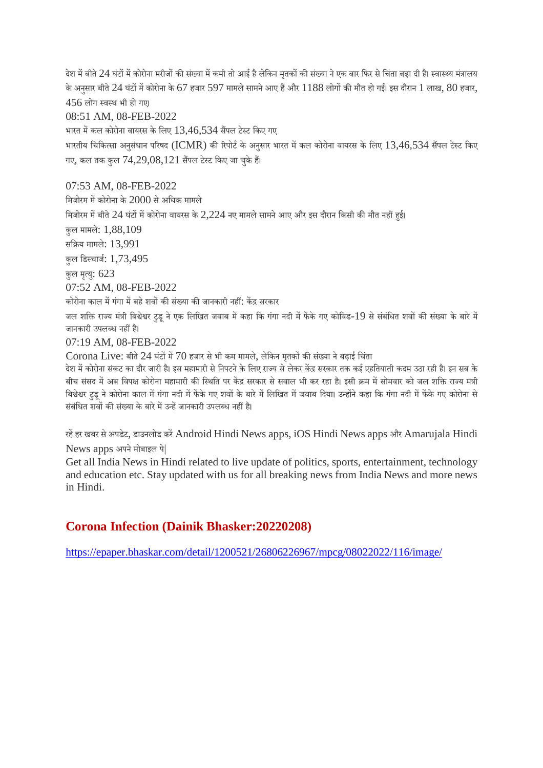देश में बीते 24 घंटों में कोरोना मरीजों की संख्या में कमी तो आई है लेकिन मतकों की संख्या ने एक बार फिर से चिंता बढ़ा दी है। स्वास्थ्य मंत्रालय के अनसार बीते 24 घंटों में कोरोना के 67 हजार 597 मामले सामने आए हैं और  $1188$  लोगों की मौत हो गई। इस दौरान  $1$  लाख,  $80$  हजार,  $456$  लोग स्वस्थ भी हो गए।

08:51 AM, 08-FEB-2022

भारत में कल कोरोना वायरस के लिए  $13,46,534$  सैंपल टेस्ट किए गए

भारतीय चिकित्सा अनसंधान परिषद (ICMR) की रिपोर्ट के अनसार भारत में कल कोरोना वायरस के लिए  $13.46.534$  सैंपल टेस्ट किए गए, कल तक कुल  $74,29,08,121$  सैंपल टेस्ट किए जा चुके हैं।

07:53 AM, 08-FEB-2022

मिजोरम में कोरोना के 2000 से अधिक मामले

मिजोरम में बीते 24 घंटों में कोरोना वायरस के 2,224 नए मामले सामने आए और इस दौरान किसी की मौत नहीं हुई।

कुल मामले: 1,88,109

सिय मामले: 13,991

कुल िडचाज: 1,73,495

कुल मृत्यु: 623

07:52 AM, 08-FEB-2022

कोरोना काल में गंगा में बहे शवों की संख्या की जानकारी नहीं: केंद्र सरकार

जल शक्ति राज्य मंत्री बिश्वेश्वर टड ने एक लिखित जवाब में कहा कि गंगा नदी में फेंके गए कोविड-19 से संबंधित शवों की संख्या के बारे में जानकारी उपलब्ध नहीं है।

07:19 AM, 08-FEB-2022

 $C$ orona  $L$ ive: बीते  $24$  घंटों में  $70$  हजार से भी कम मामले, लेकिन मृतकों की संख्या ने बढ़ाई चिंता

देश में कोरोना संकट का दौर जारी है। इस महामारी से निपटने के लिए राज्य से लेकर केंद्र सरकार तक कई एहतियाती कदम उठा रही है। इन सब के बीच संसद में अब विपक्ष कोरोना महामारी की स्थिति पर केंद्र सरकार से सवाल भी कर रहा है। इसी क्रम में सोमवार को जल शक्ति राज्य मंत्री बिश्वेश्वर टुडू ने कोरोना काल में गंगा नदी में फेंके गए शवों के बारे में लिखित में जवाब दिया। उन्होंने कहा कि गंगा नदी में फेंके गए कोरोना से संबंधित शवों की संख्या के बारे में उन्हें जानकारी उपलब्ध नहीं है।

रहें हर खबर से अपडेट, डाउनलोड करें Android Hindi News apps, iOS Hindi News apps और Amarujala Hindi News apps अपने मोबाइल पे|

Get all India News in Hindi related to live update of politics, sports, entertainment, technology and education etc. Stay updated with us for all breaking news from India News and more news in Hindi.

#### **Corona Infection (Dainik Bhasker:20220208)**

https://epaper.bhaskar.com/detail/1200521/26806226967/mpcg/08022022/116/image/